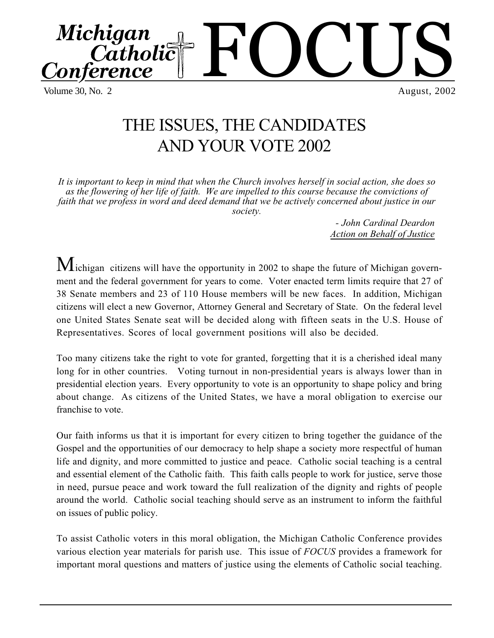Volume 30, No. 2

Michigan

**Conference** 

rayan<br>Catholic

FOCUS August, 2002

## THE ISSUES, THE CANDIDATES AND YOUR VOTE 2002

*It is important to keep in mind that when the Church involves herself in social action, she does so as the flowering of her life of faith. We are impelled to this course because the convictions of faith that we profess in word and deed demand that we be actively concerned about justice in our society.*

> *- John Cardinal Deardon Action on Behalf of Justice*

Michigan citizens will have the opportunity in 2002 to shape the future of Michigan government and the federal government for years to come. Voter enacted term limits require that 27 of 38 Senate members and 23 of 110 House members will be new faces. In addition, Michigan citizens will elect a new Governor, Attorney General and Secretary of State. On the federal level one United States Senate seat will be decided along with fifteen seats in the U.S. House of Representatives. Scores of local government positions will also be decided. .

Too many citizens take the right to vote for granted, forgetting that it is a cherished ideal many long for in other countries. Voting turnout in non-presidential years is always lower than in presidential election years. Every opportunity to vote is an opportunity to shape policy and bring about change. As citizens of the United States, we have a moral obligation to exercise our franchise to vote.

Our faith informs us that it is important for every citizen to bring together the guidance of the Gospel and the opportunities of our democracy to help shape a society more respectful of human life and dignity, and more committed to justice and peace. Catholic social teaching is a central and essential element of the Catholic faith. This faith calls people to work for justice, serve those in need, pursue peace and work toward the full realization of the dignity and rights of people around the world. Catholic social teaching should serve as an instrument to inform the faithful on issues of public policy.

To assist Catholic voters in this moral obligation, the Michigan Catholic Conference provides various election year materials for parish use. This issue of *FOCUS* provides a framework for important moral questions and matters of justice using the elements of Catholic social teaching.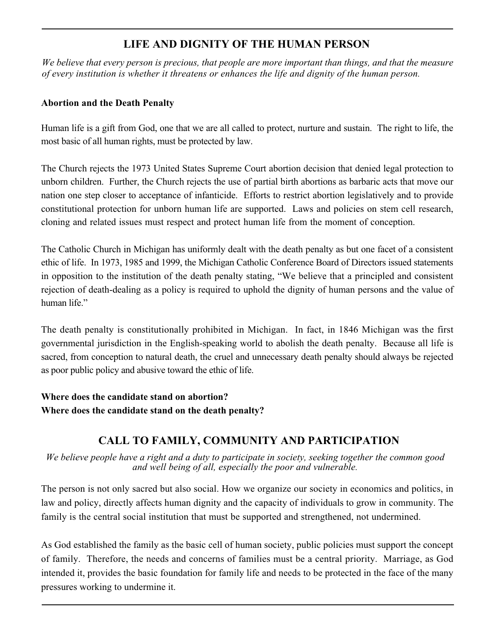## **LIFE AND DIGNITY OF THE HUMAN PERSON**

*We believe that every person is precious, that people are more important than things, and that the measure of every institution is whether it threatens or enhances the life and dignity of the human person.*

#### **Abortion and the Death Penalty**

Human life is a gift from God, one that we are all called to protect, nurture and sustain. The right to life, the most basic of all human rights, must be protected by law.

The Church rejects the 1973 United States Supreme Court abortion decision that denied legal protection to unborn children. Further, the Church rejects the use of partial birth abortions as barbaric acts that move our nation one step closer to acceptance of infanticide. Efforts to restrict abortion legislatively and to provide constitutional protection for unborn human life are supported. Laws and policies on stem cell research, cloning and related issues must respect and protect human life from the moment of conception. .

The Catholic Church in Michigan has uniformly dealt with the death penalty as but one facet of a consistent ethic of life. In 1973, 1985 and 1999, the Michigan Catholic Conference Board of Directors issued statements in opposition to the institution of the death penalty stating, "We believe that a principled and consistent rejection of death-dealing as a policy is required to uphold the dignity of human persons and the value of human life."

The death penalty is constitutionally prohibited in Michigan. In fact, in 1846 Michigan was the first governmental jurisdiction in the English-speaking world to abolish the death penalty. Because all life is sacred, from conception to natural death, the cruel and unnecessary death penalty should always be rejected as poor public policy and abusive toward the ethic of life.

#### **Where does the candidate stand on abortion? Where does the candidate stand on the death penalty?**

## **CALL TO FAMILY, COMMUNITY AND PARTICIPATION**

*We believe people have a right and a duty to participate in society, seeking together the common good and well being of all, especially the poor and vulnerable.*

The person is not only sacred but also social. How we organize our society in economics and politics, in law and policy, directly affects human dignity and the capacity of individuals to grow in community. The family is the central social institution that must be supported and strengthened, not undermined.

As God established the family as the basic cell of human society, public policies must support the concept of family. Therefore, the needs and concerns of families must be a central priority. Marriage, as God intended it, provides the basic foundation for family life and needs to be protected in the face of the many pressures working to undermine it.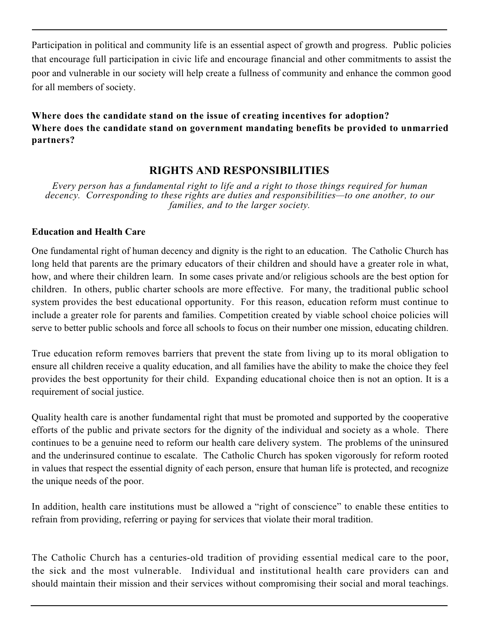Participation in political and community life is an essential aspect of growth and progress. Public policies that encourage full participation in civic life and encourage financial and other commitments to assist the poor and vulnerable in our society will help create a fullness of community and enhance the common good for all members of society.

**Where does the candidate stand on the issue of creating incentives for adoption? Where does the candidate stand on government mandating benefits be provided to unmarried partners?**

#### **RIGHTS AND RESPONSIBILITIES**

*Every person has a fundamental right to life and a right to those things required for human decency. Corresponding to these rights are duties and responsibilities—to one another, to our families, and to the larger society.*

#### **Education and Health Care**

One fundamental right of human decency and dignity is the right to an education. The Catholic Church has long held that parents are the primary educators of their children and should have a greater role in what, how, and where their children learn. In some cases private and/or religious schools are the best option for children. In others, public charter schools are more effective. For many, the traditional public school system provides the best educational opportunity. For this reason, education reform must continue to include a greater role for parents and families. Competition created by viable school choice policies will serve to better public schools and force all schools to focus on their number one mission, educating children.

True education reform removes barriers that prevent the state from living up to its moral obligation to ensure all children receive a quality education, and all families have the ability to make the choice they feel provides the best opportunity for their child. Expanding educational choice then is not an option. It is a requirement of social justice.

Quality health care is another fundamental right that must be promoted and supported by the cooperative efforts of the public and private sectors for the dignity of the individual and society as a whole. There continues to be a genuine need to reform our health care delivery system. The problems of the uninsured and the underinsured continue to escalate. The Catholic Church has spoken vigorously for reform rooted in values that respect the essential dignity of each person, ensure that human life is protected, and recognize the unique needs of the poor.

In addition, health care institutions must be allowed a "right of conscience" to enable these entities to refrain from providing, referring or paying for services that violate their moral tradition. .

The Catholic Church has a centuries-old tradition of providing essential medical care to the poor, the sick and the most vulnerable. Individual and institutional health care providers can and should maintain their mission and their services without compromising their social and moral teachings.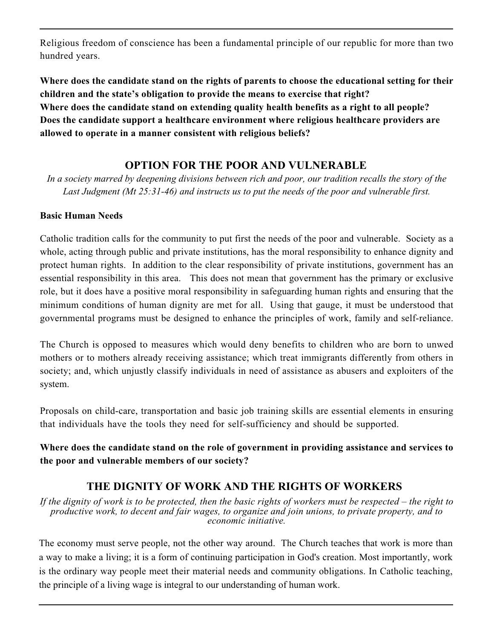Religious freedom of conscience has been a fundamental principle of our republic for more than two hundred years.

**Where does the candidate stand on the rights of parents to choose the educational setting for their children and the state's obligation to provide the means to exercise that right? Where does the candidate stand on extending quality health benefits as a right to all people? Does the candidate support a healthcare environment where religious healthcare providers are allowed to operate in a manner consistent with religious beliefs?**

### **OPTION FOR THE POOR AND VULNERABLE**

*In a society marred by deepening divisions between rich and poor, our tradition recalls the story of the Last Judgment (Mt 25:31-46) and instructs us to put the needs of the poor and vulnerable first.*

#### **Basic Human Needs**

Catholic tradition calls for the community to put first the needs of the poor and vulnerable. Society as a whole, acting through public and private institutions, has the moral responsibility to enhance dignity and protect human rights. In addition to the clear responsibility of private institutions, government has an essential responsibility in this area. This does not mean that government has the primary or exclusive role, but it does have a positive moral responsibility in safeguarding human rights and ensuring that the minimum conditions of human dignity are met for all. Using that gauge, it must be understood that governmental programs must be designed to enhance the principles of work, family and self-reliance.

The Church is opposed to measures which would deny benefits to children who are born to unwed mothers or to mothers already receiving assistance; which treat immigrants differently from others in society; and, which unjustly classify individuals in need of assistance as abusers and exploiters of the system.

Proposals on child-care, transportation and basic job training skills are essential elements in ensuring that individuals have the tools they need for self-sufficiency and should be supported. .

**Where does the candidate stand on the role of government in providing assistance and services to the poor and vulnerable members of our society?**

## **THE DIGNITY OF WORK AND THE RIGHTS OF WORKERS**

*If the dignity of work is to be protected, then the basic rights of workers must be respected – the right to productive work, to decent and fair wages, to organize and join unions, to private property, and to economic initiative.*

The economy must serve people, not the other way around. The Church teaches that work is more than a way to make a living; it is a form of continuing participation in God's creation. Most importantly, work is the ordinary way people meet their material needs and community obligations. In Catholic teaching, the principle of a living wage is integral to our understanding of human work.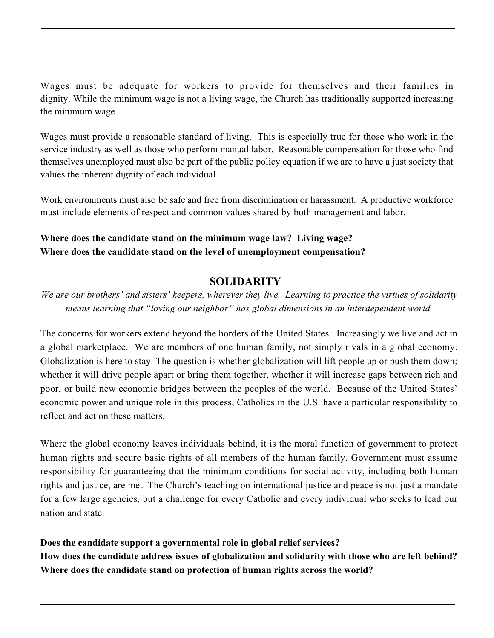Wages must be adequate for workers to provide for themselves and their families in dignity. While the minimum wage is not a living wage, the Church has traditionally supported increasing the minimum wage.

Wages must provide a reasonable standard of living. This is especially true for those who work in the service industry as well as those who perform manual labor. Reasonable compensation for those who find themselves unemployed must also be part of the public policy equation if we are to have a just society that values the inherent dignity of each individual.

Work environments must also be safe and free from discrimination or harassment. A productive workforce must include elements of respect and common values shared by both management and labor. .

#### **Where does the candidate stand on the minimum wage law? Living wage? Where does the candidate stand on the level of unemployment compensation?**

#### **SOLIDARITY**

*We are our brothers' and sisters' keepers, wherever they live. Learning to practice the virtues of solidarity means learning that "loving our neighbor" has global dimensions in an interdependent world.*

The concerns for workers extend beyond the borders of the United States. Increasingly we live and act in a global marketplace. We are members of one human family, not simply rivals in a global economy. Globalization is here to stay. The question is whether globalization will lift people up or push them down; whether it will drive people apart or bring them together, whether it will increase gaps between rich and poor, or build new economic bridges between the peoples of the world. Because of the United States' economic power and unique role in this process, Catholics in the U.S. have a particular responsibility to reflect and act on these matters.

Where the global economy leaves individuals behind, it is the moral function of government to protect human rights and secure basic rights of all members of the human family. Government must assume responsibility for guaranteeing that the minimum conditions for social activity, including both human rights and justice, are met. The Church's teaching on international justice and peace is not just a mandate for a few large agencies, but a challenge for every Catholic and every individual who seeks to lead our nation and state.

#### **Does the candidate support a governmental role in global relief services?**

**How does the candidate address issues of globalization and solidarity with those who are left behind? Where does the candidate stand on protection of human rights across the world?**